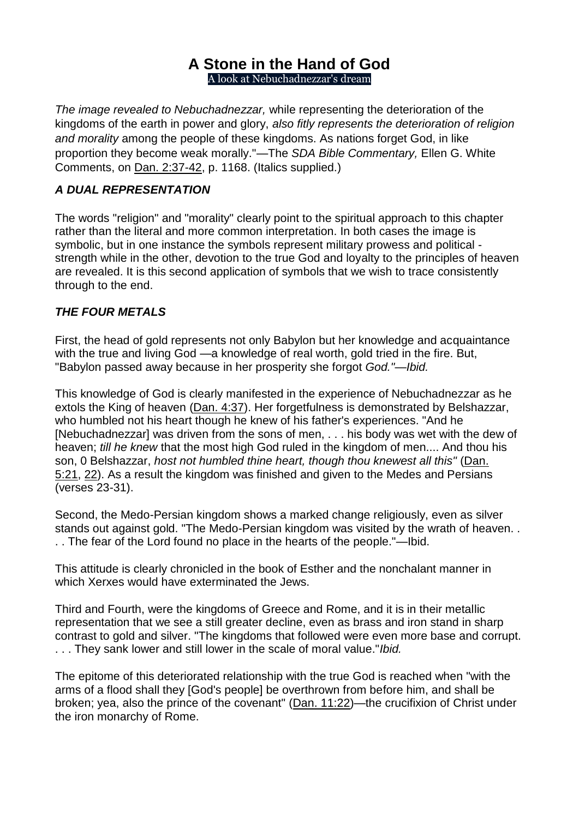# **[A Stone in the Hand of God](https://www.ministrymagazine.org/)** A look at Nebuchadnezzar's dream

*The image revealed to Nebuchadnezzar,* while representing the deterioration of the kingdoms of the earth in power and glory, *also fitly represents the deterioration of religion and morality* among the people of these kingdoms. As nations forget God, in like proportion they become weak morally."—The *SDA Bible Commentary,* Ellen G. White Comments, on Dan. [2:37-42,](https://biblia.com/bible/esv/Dan.%202.37-42) p. 1168. (Italics supplied.)

## *A DUAL REPRESENTATION*

The words "religion" and "morality" clearly point to the spiritual approach to this chapter rather than the literal and more common interpretation. In both cases the image is symbolic, but in one instance the symbols represent military prowess and political strength while in the other, devotion to the true God and loyalty to the principles of heaven are revealed. It is this second application of symbols that we wish to trace consistently through to the end.

#### *THE FOUR METALS*

First, the head of gold represents not only Babylon but her knowledge and acquaintance with the true and living God —a knowledge of real worth, gold tried in the fire. But, "Babylon passed away because in her prosperity she forgot *God."—Ibid.*

This knowledge of God is clearly manifested in the experience of Nebuchadnezzar as he extols the King of heaven [\(Dan.](https://biblia.com/bible/esv/Dan.%204.37) 4:37). Her forgetfulness is demonstrated by Belshazzar, who humbled not his heart though he knew of his father's experiences. "And he [Nebuchadnezzar] was driven from the sons of men, . . . his body was wet with the dew of heaven; *till he knew* that the most high God ruled in the kingdom of men.... And thou his son, 0 Belshazzar, *host not humbled thine heart, though thou knewest all this"* [\(Dan.](https://biblia.com/bible/esv/Dan.%205.21) [5:21,](https://biblia.com/bible/esv/Dan.%205.21) [22\)](https://biblia.com/bible/esv/Dan%205.22). As a result the kingdom was finished and given to the Medes and Persians (verses 23-31).

Second, the Medo-Persian kingdom shows a marked change religiously, even as silver stands out against gold. "The Medo-Persian kingdom was visited by the wrath of heaven... . . The fear of the Lord found no place in the hearts of the people."—Ibid.

This attitude is clearly chronicled in the book of Esther and the nonchalant manner in which Xerxes would have exterminated the Jews.

Third and Fourth, were the kingdoms of Greece and Rome, and it is in their metallic representation that we see a still greater decline, even as brass and iron stand in sharp contrast to gold and silver. "The kingdoms that followed were even more base and corrupt. . . . They sank lower and still lower in the scale of moral value."*Ibid.*

The epitome of this deteriorated relationship with the true God is reached when "with the arms of a flood shall they [God's people] be overthrown from before him, and shall be broken; yea, also the prince of the covenant" (Dan. [11:22\)](https://biblia.com/bible/esv/Dan.%2011.22)—the crucifixion of Christ under the iron monarchy of Rome.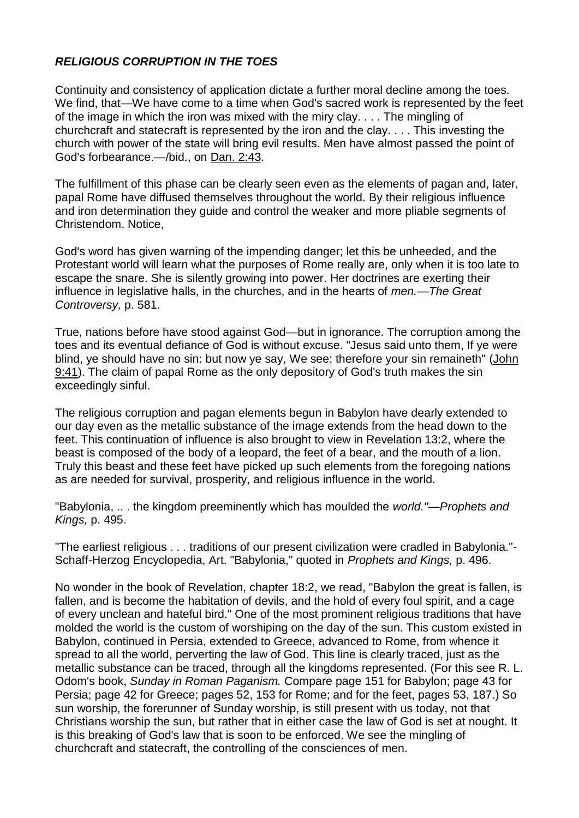#### *RELIGIOUS CORRUPTION IN THE TOES*

Continuity and consistency of application dictate a further moral decline among the toes. We find, that—We have come to a time when God's sacred work is represented by the feet of the image in which the iron was mixed with the miry clay. . . . The mingling of churchcraft and statecraft is represented by the iron and the clay. . . . This investing the church with power of the state will bring evil results. Men have almost passed the point of God's forbearance.—/bid., on Dan. [2:43.](https://biblia.com/bible/esv/Dan.%202.43)

The fulfillment of this phase can be clearly seen even as the elements of pagan and, later, papal Rome have diffused themselves throughout the world. By their religious influence and iron determination they guide and control the weaker and more pliable segments of Christendom. Notice,

God's word has given warning of the impending danger; let this be unheeded, and the Protestant world will learn what the purposes of Rome really are, only when it is too late to escape the snare. She is silently growing into power. Her doctrines are exerting their influence in legislative halls, in the churches, and in the hearts of *men.—The Great Controversy,* p. 581.

True, nations before have stood against God—but in ignorance. The corruption among the toes and its eventual defiance of God is without excuse. "Jesus said unto them, If ye were blind, ye should have no sin: but now ye say, We see; therefore your sin remaineth" [\(John](https://biblia.com/bible/esv/John%209.41) [9:41\)](https://biblia.com/bible/esv/John%209.41). The claim of papal Rome as the only depository of God's truth makes the sin exceedingly sinful.

The religious corruption and pagan elements begun in Babylon have dearly extended to our day even as the metallic substance of the image extends from the head down to the feet. This continuation of influence is also brought to view in Revelation 13:2, where the beast is composed of the body of a leopard, the feet of a bear, and the mouth of a lion. Truly this beast and these feet have picked up such elements from the foregoing nations as are needed for survival, prosperity, and religious influence in the world.

"Babylonia, .. . the kingdom preeminently which has moulded the *world."—Prophets and Kings,* p. 495.

"The earliest religious . . . traditions of our present civilization were cradled in Babylonia."- Schaff-Herzog Encyclopedia, Art. "Babylonia," quoted in *Prophets and Kings,* p. 496.

No wonder in the book of Revelation, chapter 18:2, we read, "Babylon the great is fallen, is fallen, and is become the habitation of devils, and the hold of every foul spirit, and a cage of every unclean and hateful bird." One of the most prominent religious traditions that have molded the world is the custom of worshiping on the day of the sun. This custom existed in Babylon, continued in Persia, extended to Greece, advanced to Rome, from whence it spread to all the world, perverting the law of God. This line is clearly traced, just as the metallic substance can be traced, through all the kingdoms represented. (For this see R. L. Odom's book, *Sunday in Roman Paganism.* Compare page 151 for Babylon; page 43 for Persia; page 42 for Greece; pages 52, 153 for Rome; and for the feet, pages 53, 187.) So sun worship, the forerunner of Sunday worship, is still present with us today, not that Christians worship the sun, but rather that in either case the law of God is set at nought. It is this breaking of God's law that is soon to be enforced. We see the mingling of churchcraft and statecraft, the controlling of the consciences of men.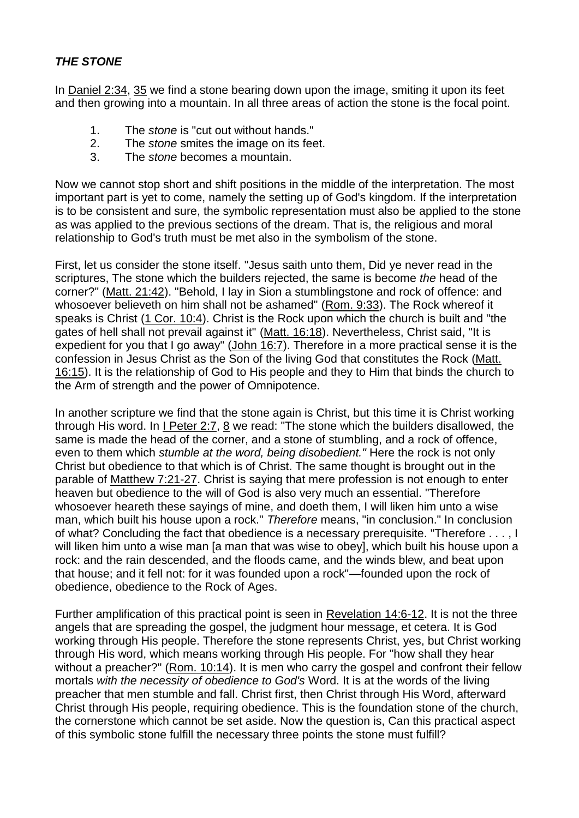## *THE STONE*

In [Daniel](https://biblia.com/bible/esv/Dan%202.34) 2:34, [35](https://biblia.com/bible/esv/Daniel%202.35) we find a stone bearing down upon the image, smiting it upon its feet and then growing into a mountain. In all three areas of action the stone is the focal point.

- 1. The *stone* is "cut out without hands."
- 2. The *stone* smites the image on its feet.
- 3. The *stone* becomes a mountain.

Now we cannot stop short and shift positions in the middle of the interpretation. The most important part is yet to come, namely the setting up of God's kingdom. If the interpretation is to be consistent and sure, the symbolic representation must also be applied to the stone as was applied to the previous sections of the dream. That is, the religious and moral relationship to God's truth must be met also in the symbolism of the stone.

First, let us consider the stone itself. "Jesus saith unto them, Did ye never read in the scriptures, The stone which the builders rejected, the same is become *the* head of the corner?" (Matt. [21:42\)](https://biblia.com/bible/esv/Matt.%2021.42). "Behold, I lay in Sion a stumblingstone and rock of offence: and whosoever believeth on him shall not be ashamed" [\(Rom.](https://biblia.com/bible/esv/Rom.%209.33) 9:33). The Rock whereof it speaks is Christ (1 Cor. [10:4\)](https://biblia.com/bible/esv/1%20Cor.%2010.4). Christ is the Rock upon which the church is built and "the gates of hell shall not prevail against it" (Matt. [16:18\)](https://biblia.com/bible/esv/Matt.%2016.18). Nevertheless, Christ said, "It is expedient for you that I go away" [\(John](https://biblia.com/bible/esv/John%2016.7) 16:7). Therefore in a more practical sense it is the confession in Jesus Christ as the Son of the living God that constitutes the Rock [\(Matt.](https://biblia.com/bible/esv/Matt.%2016.15) [16:15\)](https://biblia.com/bible/esv/Matt.%2016.15). It is the relationship of God to His people and they to Him that binds the church to the Arm of strength and the power of Omnipotence.

In another scripture we find that the stone again is Christ, but this time it is Christ working through His word. In  $1$  [Peter](https://biblia.com/bible/esv/1%20Pet%202.7) 2:7,  $8$  we read: "The stone which the builders disallowed, the same is made the head of the corner, and a stone of stumbling, and a rock of offence, even to them which *stumble at the word, being disobedient."* Here the rock is not only Christ but obedience to that which is of Christ. The same thought is brought out in the parable of [Matthew](https://biblia.com/bible/esv/Matt%207.21-27) 7:21-27. Christ is saying that mere profession is not enough to enter heaven but obedience to the will of God is also very much an essential. "Therefore whosoever heareth these sayings of mine, and doeth them, I will liken him unto a wise man, which built his house upon a rock." *Therefore* means, "in conclusion." In conclusion of what? Concluding the fact that obedience is a necessary prerequisite. "Therefore . . . , I will liken him unto a wise man [a man that was wise to obey], which built his house upon a rock: and the rain descended, and the floods came, and the winds blew, and beat upon that house; and it fell not: for it was founded upon a rock"—founded upon the rock of obedience, obedience to the Rock of Ages.

Further amplification of this practical point is seen in [Revelation](https://biblia.com/bible/esv/Rev%2014.6-12) 14:6-12. It is not the three angels that are spreading the gospel, the judgment hour message, et cetera. It is God working through His people. Therefore the stone represents Christ, yes, but Christ working through His word, which means working through His people. For "how shall they hear without a preacher?" (Rom. [10:14\)](https://biblia.com/bible/esv/Rom.%2010.14). It is men who carry the gospel and confront their fellow mortals *with the necessity of obedience to God's* Word. It is at the words of the living preacher that men stumble and fall. Christ first, then Christ through His Word, afterward Christ through His people, requiring obedience. This is the foundation stone of the church, the cornerstone which cannot be set aside. Now the question is, Can this practical aspect of this symbolic stone fulfill the necessary three points the stone must fulfill?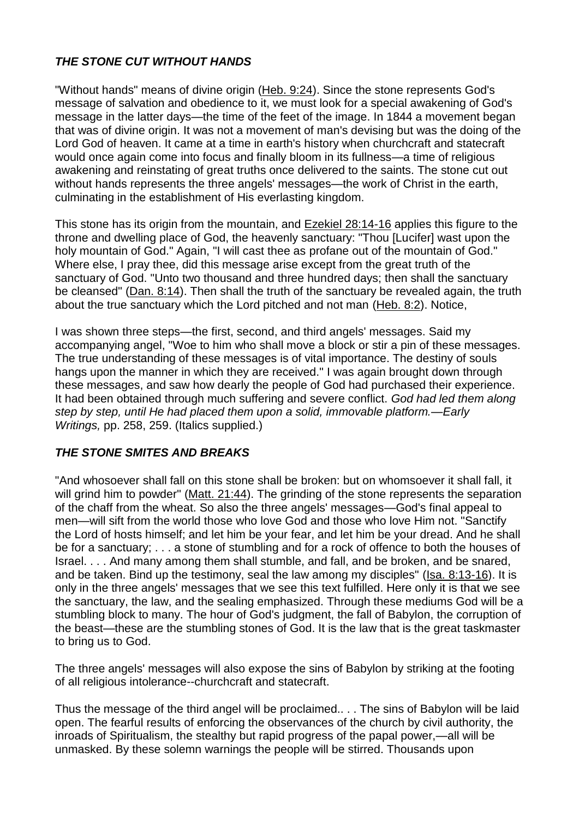## *THE STONE CUT WITHOUT HANDS*

"Without hands" means of divine origin [\(Heb.](https://biblia.com/bible/esv/Heb.%209.24) 9:24). Since the stone represents God's message of salvation and obedience to it, we must look for a special awakening of God's message in the latter days—the time of the feet of the image. In 1844 a movement began that was of divine origin. It was not a movement of man's devising but was the doing of the Lord God of heaven. It came at a time in earth's history when churchcraft and statecraft would once again come into focus and finally bloom in its fullness—a time of religious awakening and reinstating of great truths once delivered to the saints. The stone cut out without hands represents the three angels' messages—the work of Christ in the earth, culminating in the establishment of His everlasting kingdom.

This stone has its origin from the mountain, and Ezekiel [28:14-16](https://biblia.com/bible/esv/Ezek%2028.14-16) applies this figure to the throne and dwelling place of God, the heavenly sanctuary: "Thou [Lucifer] wast upon the holy mountain of God." Again, "I will cast thee as profane out of the mountain of God." Where else, I pray thee, did this message arise except from the great truth of the sanctuary of God. "Unto two thousand and three hundred days; then shall the sanctuary be cleansed" [\(Dan.](https://biblia.com/bible/esv/Dan.%208.14) 8:14). Then shall the truth of the sanctuary be revealed again, the truth about the true sanctuary which the Lord pitched and not man [\(Heb.](https://biblia.com/bible/esv/Heb.%208.2) 8:2). Notice,

I was shown three steps—the first, second, and third angels' messages. Said my accompanying angel, "Woe to him who shall move a block or stir a pin of these messages. The true understanding of these messages is of vital importance. The destiny of souls hangs upon the manner in which they are received." I was again brought down through these messages, and saw how dearly the people of God had purchased their experience. It had been obtained through much suffering and severe conflict. *God had led them along step by step, until He had placed them upon a solid, immovable platform.—Early Writings,* pp. 258, 259. (Italics supplied.)

#### *THE STONE SMITES AND BREAKS*

"And whosoever shall fall on this stone shall be broken: but on whomsoever it shall fall, it will grind him to powder" (Matt. [21:44\)](https://biblia.com/bible/esv/Matt.%2021.44). The grinding of the stone represents the separation of the chaff from the wheat. So also the three angels' messages—God's final appeal to men—will sift from the world those who love God and those who love Him not. "Sanctify the Lord of hosts himself; and let him be your fear, and let him be your dread. And he shall be for a sanctuary; . . . a stone of stumbling and for a rock of offence to both the houses of Israel. . . . And many among them shall stumble, and fall, and be broken, and be snared, and be taken. Bind up the testimony, seal the law among my disciples" (Isa. [8:13-16\)](https://biblia.com/bible/esv/Isa.%208.13-16). It is only in the three angels' messages that we see this text fulfilled. Here only it is that we see the sanctuary, the law, and the sealing emphasized. Through these mediums God will be a stumbling block to many. The hour of God's judgment, the fall of Babylon, the corruption of the beast—these are the stumbling stones of God. It is the law that is the great taskmaster to bring us to God.

The three angels' messages will also expose the sins of Babylon by striking at the footing of all religious intolerance--churchcraft and statecraft.

Thus the message of the third angel will be proclaimed.. . . The sins of Babylon will be laid open. The fearful results of enforcing the observances of the church by civil authority, the inroads of Spiritualism, the stealthy but rapid progress of the papal power,—all will be unmasked. By these solemn warnings the people will be stirred. Thousands upon